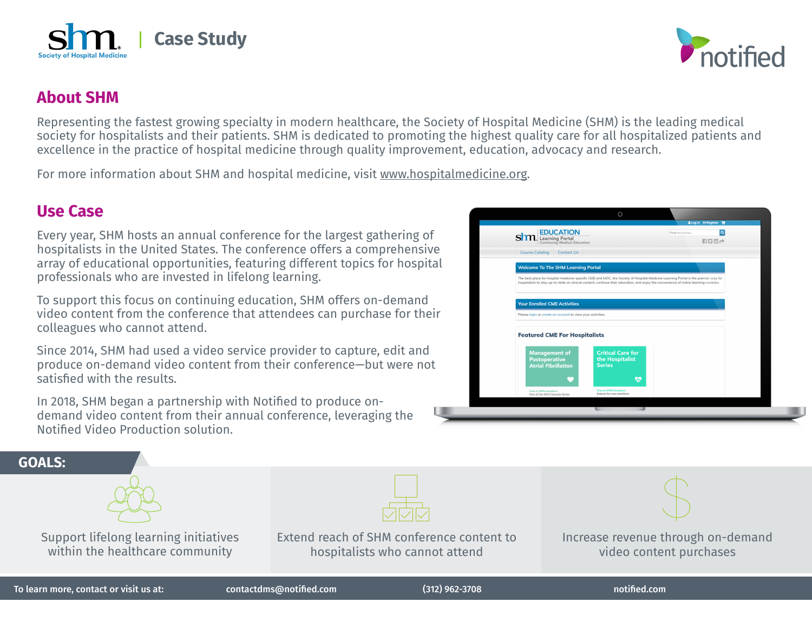

## **About SHM**

Representing the fastest growing specialty in modern healthcare, the Society of Hospital Medicine (SHM) is the leading medical society for hospitalists and their patients. SHM is dedicated to promoting the highest quality care for all hospitalized patients and excellence in the practice of hospital medicine through quality improvement, education, advocacy and research.

For more information about SHM and hospital medicine, visit www.hospitalmedicine.org.

## **Use Case**

Every year, SHM hosts an annual conference for the largest gathering of hospitalists in the United States. The conference offers a comprehensive array of educational opportunities, featuring different topics for hospital professionals who are invested in lifelong learning.

To support this focus on continuing education, SHM offers on-demand video content from the conference that attendees can purchase for their colleagues who cannot attend.

Since 2014, SHM had used a video service provider to capture, edit and produce on-demand video content from their conference—but were not satisfied with the results.

In 2018, SHM began a partnership with Notified to produce ondemand video content from their annual conference, leveraging the Notified Video Production solution.



**GOALS:** Support lifelong learning initiatives within the healthcare community Increase revenue through on-demand video content purchases Extend reach of SHM conference content to hospitalists who cannot attend To learn more, contact or visit us at: contactdms@notified.com (312) 962-3708 notified.com